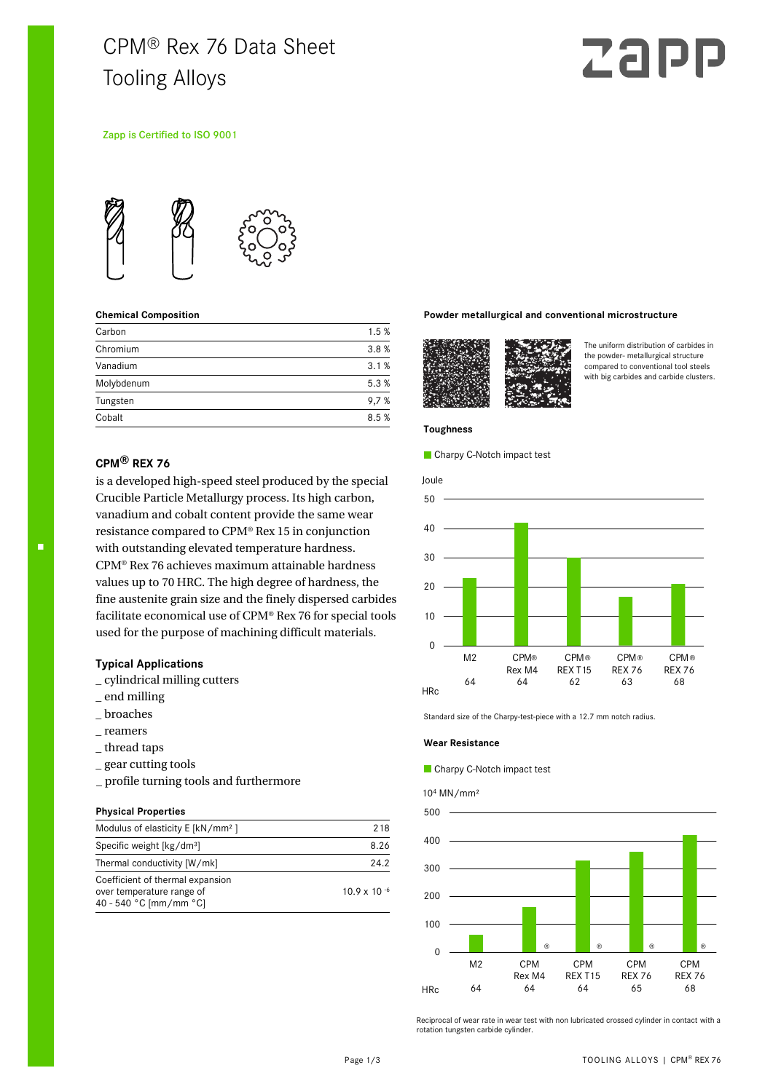# CPM® Rex 76 Data Sheet Tooling Alloys

# Z 21

# Zapp is Certified to ISO 9001



# **Chemical Composition**

| Carbon     | 1.5% |
|------------|------|
| Chromium   | 3.8% |
| Vanadium   | 3.1% |
| Molybdenum | 5.3% |
| Tungsten   | 9,7% |
| Cobalt     | 8.5% |

# **CPM® REX 76**

is a developed high-speed steel produced by the special Crucible Particle Metallurgy process. Its high carbon, vanadium and cobalt content provide the same wear resistance compared to CPM® Rex 15 in conjunction with outstanding elevated temperature hardness. CPM® Rex 76 achieves maximum attainable hardness values up to 70 HRC. The high degree of hardness, the fine austenite grain size and the finely dispersed carbides facilitate economical use of CPM® Rex 76 for special tools used for the purpose of machining difficult materials.

# **Typical Applications**

- \_ cylindrical milling cutters
- \_ end milling
- \_ broaches
- \_ reamers
- \_ thread taps
- \_ gear cutting tools
- \_ profile turning tools and furthermore

#### **Physical Properties**

| Modulus of elasticity E [kN/mm <sup>2</sup> ]                                           | 218                   |
|-----------------------------------------------------------------------------------------|-----------------------|
| Specific weight [kg/dm <sup>3</sup> ]                                                   | 8.26                  |
| Thermal conductivity [W/mk]                                                             | 24.2                  |
| Coefficient of thermal expansion<br>over temperature range of<br>40 - 540 °C [mm/mm °C] | $10.9 \times 10^{-6}$ |

## **Powder metallurgical and conventional microstructure**



The uniform distribution of carbides in the powder- metallurgical structure compared to conventional tool steels with big carbides and carbide clusters.

#### **Toughness**

Charpy C-Notch impact test



Standard size of the Charpy-test-piece with a 12.7 mm notch radius.

### **Wear Resistance**

# Charpy C-Notch impact test

#### 10<sup>4</sup> MN/mm²



Reciprocal of wear rate in wear test with non lubricated crossed cylinder in contact with a rotation tungsten carbide cylinder.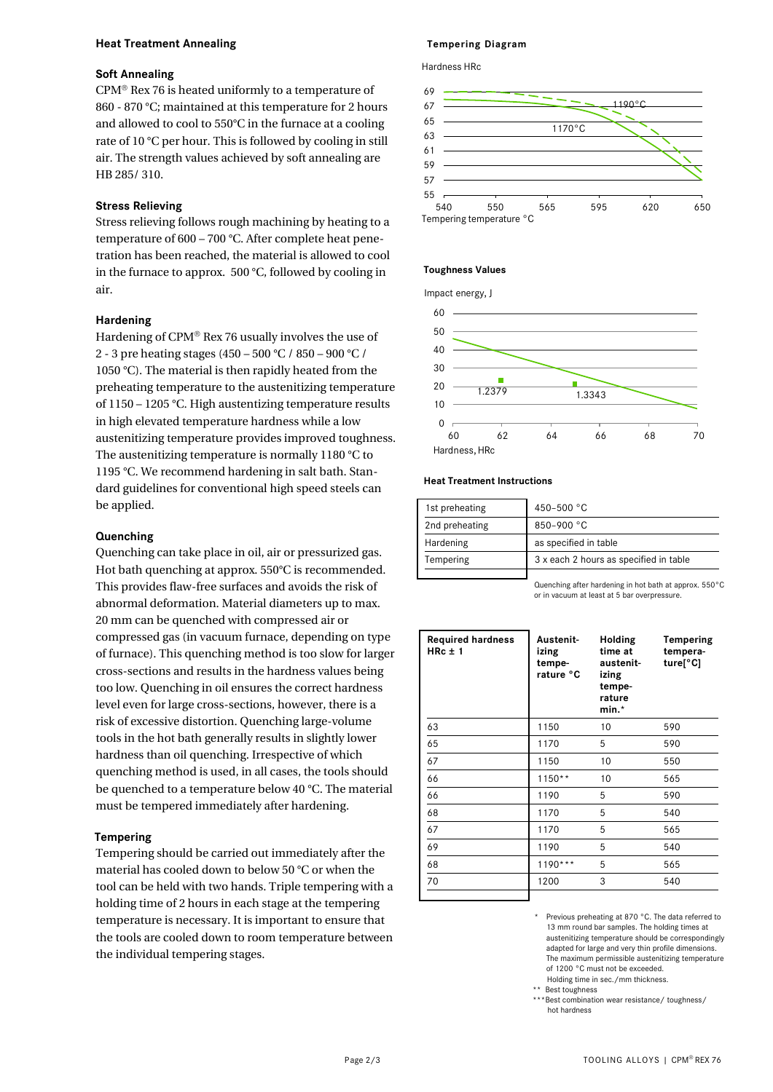# **Heat Treatment Annealing**

# **Soft Annealing**

 $CPM<sup>®</sup>$  Rex 76 is heated uniformly to a temperature of 860 - 870 °C; maintained at this temperature for 2 hours and allowed to cool to 550°C in the furnace at a cooling rate of 10 °C per hour. This is followed by cooling in still air. The strength values achieved by soft annealing are HB 285/ 310.

# **Stress Relieving**

Stress relieving follows rough machining by heating to a temperature of 600 – 700 °C. After complete heat penetration has been reached, the material is allowed to cool in the furnace to approx. 500 °C, followed by cooling in air.

# **Hardening**

Hardening of  $CPM^{\circledR}$  Rex 76 usually involves the use of 2 - 3 pre heating stages (450 – 500 °C / 850 – 900 °C / 1050 °C). The material is then rapidly heated from the preheating temperature to the austenitizing temperature of 1150 – 1205 °C. High austentizing temperature results in high elevated temperature hardness while a low austenitizing temperature provides improved toughness. The austenitizing temperature is normally 1180 °C to 1195 °C. We recommend hardening in salt bath. Standard guidelines for conventional high speed steels can be applied.

# **Quenching**

Quenching can take place in oil, air or pressurized gas. Hot bath quenching at approx. 550°C is recommended. This provides flaw-free surfaces and avoids the risk of abnormal deformation. Material diameters up to max. 20 mm can be quenched with compressed air or compressed gas (in vacuum furnace, depending on type of furnace). This quenching method is too slow for larger cross-sections and results in the hardness values being too low. Quenching in oil ensures the correct hardness level even for large cross-sections, however, there is a risk of excessive distortion. Quenching large-volume tools in the hot bath generally results in slightly lower hardness than oil quenching. Irrespective of which quenching method is used, in all cases, the tools should be quenched to a temperature below 40 °C. The material must be tempered immediately after hardening.

# **Tempering**

Tempering should be carried out immediately after the material has cooled down to below 50 °C or when the tool can be held with two hands. Triple tempering with a holding time of 2 hours in each stage at the tempering temperature is necessary. It is important to ensure that the tools are cooled down to room temperature between the individual tempering stages.

# **Tempering Diagram**

Hardness HRc



# **Toughness Values**

Impact energy, J



# **Heat Treatment Instructions**

| 1st preheating | 450-500 °C                             |
|----------------|----------------------------------------|
| 2nd preheating | 850-900 °C                             |
| Hardening      | as specified in table                  |
| Tempering      | 3 x each 2 hours as specified in table |
|                |                                        |

Quenching after hardening in hot bath at approx. 550°C or in vacuum at least at 5 bar overpressure.

| <b>Required hardness</b><br>HRc $\pm$ 1 | Austenit-<br>izing<br>tempe-<br>rature °C | Holding<br>time at<br>austenit-<br>izing<br>tempe-<br>rature<br>$min.*$ | Tempering<br>tempera-<br>ture[°C] |
|-----------------------------------------|-------------------------------------------|-------------------------------------------------------------------------|-----------------------------------|
| 63                                      | 1150                                      | 10                                                                      | 590                               |
| 65                                      | 1170                                      | 5                                                                       | 590                               |
| 67                                      | 1150                                      | 10                                                                      | 550                               |
| 66                                      | $1150**$                                  | 10                                                                      | 565                               |
| 66                                      | 1190                                      | 5                                                                       | 590                               |
| 68                                      | 1170                                      | 5                                                                       | 540                               |
| 67                                      | 1170                                      | 5                                                                       | 565                               |
| 69                                      | 1190                                      | 5                                                                       | 540                               |
| 68                                      | $1190***$                                 | 5                                                                       | 565                               |
| 70                                      | 1200                                      | 3                                                                       | 540                               |
|                                         |                                           |                                                                         |                                   |

Previous preheating at 870 °C. The data referred to 13 mm round bar samples. The holding times at austenitizing temperature should be correspondingly adapted for large and very thin profile dimensions. The maximum permissible austenitizing temperature of 1200 °C must not be exceeded. Holding time in sec./mm thickness.

Best toughness

 \*\*\*Best combination wear resistance/ toughness/ hot hardness